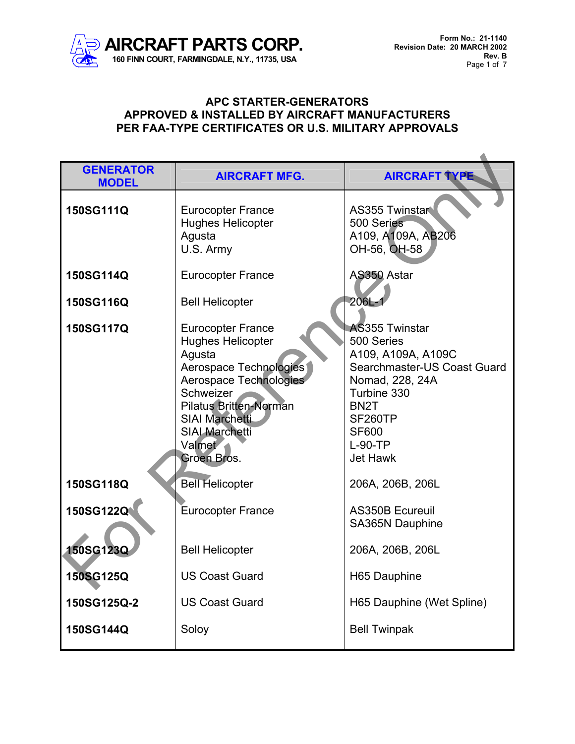

| <b>GENERATOR</b><br><b>MODEL</b> | <b>AIRCRAFT MFG.</b>                                                                                                                                                                                                                               | <b>AIRCRAFT TYPE</b>                                                                                                                                                                                       |
|----------------------------------|----------------------------------------------------------------------------------------------------------------------------------------------------------------------------------------------------------------------------------------------------|------------------------------------------------------------------------------------------------------------------------------------------------------------------------------------------------------------|
| 150SG111Q                        | <b>Eurocopter France</b><br><b>Hughes Helicopter</b><br>Agusta<br>U.S. Army                                                                                                                                                                        | <b>AS355 Twinstart</b><br>500 Series<br>A109, A109A, AB206<br>OH-56, OH-58                                                                                                                                 |
| 150SG114Q                        | <b>Eurocopter France</b>                                                                                                                                                                                                                           | AS350 Astar                                                                                                                                                                                                |
| 150SG116Q                        | <b>Bell Helicopter</b>                                                                                                                                                                                                                             | $206L -$                                                                                                                                                                                                   |
| 150SG117Q                        | <b>Eurocopter France</b><br><b>Hughes Helicopter</b><br>Agusta<br>Aerospace Technologies<br>Aerospace Technologies<br>Schweizer<br><b>Pilatus Britten-Norman</b><br><b>SIAI Marchetti</b><br><b>SIAI Marchetti</b><br><b>Valmet</b><br>Groen Bros. | <b>AS355 Twinstar</b><br>500 Series<br>A109, A109A, A109C<br>Searchmaster-US Coast Guard<br>Nomad, 228, 24A<br>Turbine 330<br>BN <sub>2</sub> T<br>SF260TP<br><b>SF600</b><br>$L-90-TP$<br><b>Jet Hawk</b> |
| 150SG118Q                        | <b>Bell Helicopter</b>                                                                                                                                                                                                                             | 206A, 206B, 206L                                                                                                                                                                                           |
| 150SG122Q                        | <b>Eurocopter France</b>                                                                                                                                                                                                                           | <b>AS350B Ecureuil</b><br>SA365N Dauphine                                                                                                                                                                  |
| 150SG123Q                        | <b>Bell Helicopter</b>                                                                                                                                                                                                                             | 206A, 206B, 206L                                                                                                                                                                                           |
| 150SG125Q                        | <b>US Coast Guard</b>                                                                                                                                                                                                                              | H65 Dauphine                                                                                                                                                                                               |
| 150SG125Q-2                      | <b>US Coast Guard</b>                                                                                                                                                                                                                              | H65 Dauphine (Wet Spline)                                                                                                                                                                                  |
| 150SG144Q                        | Soloy                                                                                                                                                                                                                                              | <b>Bell Twinpak</b>                                                                                                                                                                                        |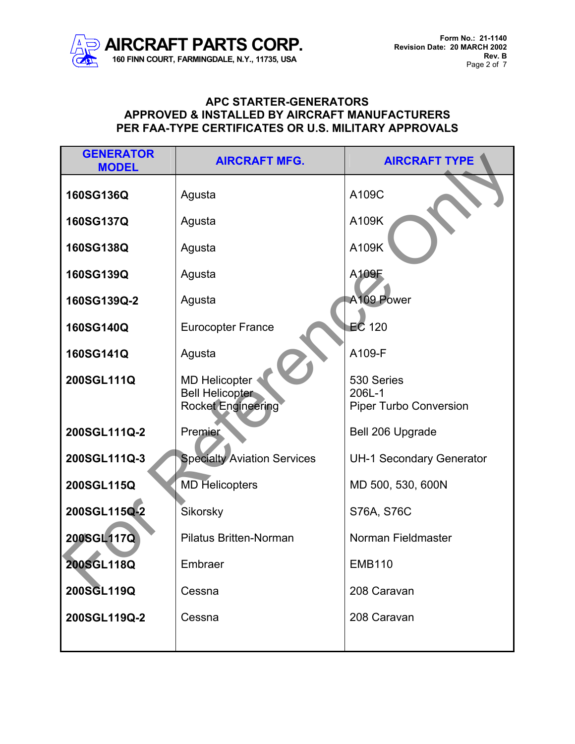

| <b>GENERATOR</b><br><b>MODEL</b> | <b>AIRCRAFT MFG.</b>                                                        | <b>AIRCRAFT TYPE</b>                                  |
|----------------------------------|-----------------------------------------------------------------------------|-------------------------------------------------------|
| 160SG136Q                        | Agusta                                                                      | A109C                                                 |
| 160SG137Q                        | Agusta                                                                      | A109K                                                 |
| 160SG138Q                        | Agusta                                                                      | A109K                                                 |
| 160SG139Q                        | Agusta                                                                      | A109F                                                 |
| 160SG139Q-2                      | Agusta                                                                      | A109 Power                                            |
| 160SG140Q                        | <b>Eurocopter France</b>                                                    | $EC$ 120                                              |
| 160SG141Q                        | Agusta                                                                      | A109-F                                                |
| 200SGL111Q                       | <b>MD Helicopter</b><br><b>Bell Helicopter</b><br><b>Rocket Engineering</b> | 530 Series<br>206L-1<br><b>Piper Turbo Conversion</b> |
| 200SGL111Q-2                     | Premier                                                                     | Bell 206 Upgrade                                      |
| 200SGL111Q-3                     | <b>Specialty Aviation Services</b>                                          | <b>UH-1 Secondary Generator</b>                       |
| 200SGL115Q                       | <b>MD Helicopters</b>                                                       | MD 500, 530, 600N                                     |
| 200SGL115Q-2                     | Sikorsky                                                                    | S76A, S76C                                            |
| 200SGL117Q                       | <b>Pilatus Britten-Norman</b>                                               | Norman Fieldmaster                                    |
| 200SGL118Q                       | Embraer                                                                     | <b>EMB110</b>                                         |
| 200SGL119Q                       | Cessna                                                                      | 208 Caravan                                           |
| 200SGL119Q-2                     | Cessna                                                                      | 208 Caravan                                           |
|                                  |                                                                             |                                                       |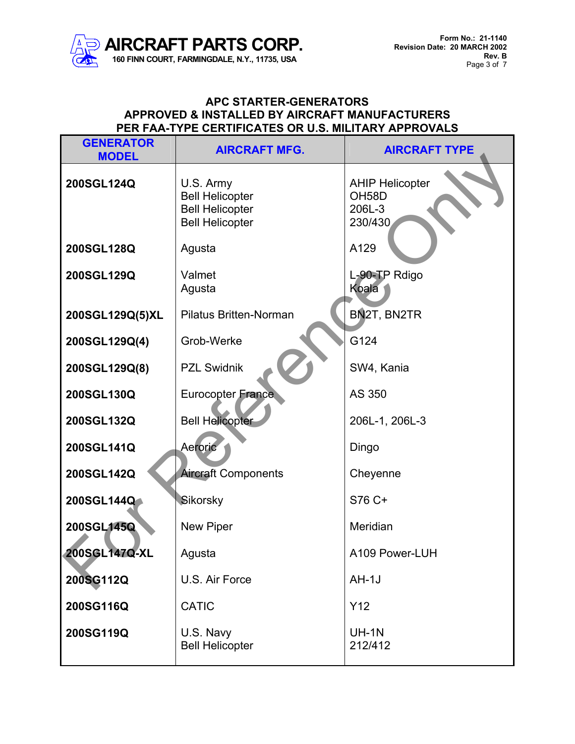

| <b>GENERATOR</b><br><b>MODEL</b> | <b>AIRCRAFT MFG.</b>                                                                    | <b>AIRCRAFT TYPE</b>                                              |
|----------------------------------|-----------------------------------------------------------------------------------------|-------------------------------------------------------------------|
| 200SGL124Q                       | U.S. Army<br><b>Bell Helicopter</b><br><b>Bell Helicopter</b><br><b>Bell Helicopter</b> | <b>AHIP Helicopter</b><br>OH <sub>58</sub> D<br>206L-3<br>230/430 |
| 200SGL128Q                       | Agusta                                                                                  | A129                                                              |
| 200SGL129Q                       | Valmet<br>Agusta                                                                        | L-90-TP Rdigo<br>Koala                                            |
| 200SGL129Q(5)XL                  | <b>Pilatus Britten-Norman</b>                                                           | BN2T, BN2TR                                                       |
| 200SGL129Q(4)                    | Grob-Werke                                                                              | G124                                                              |
| 200SGL129Q(8)                    | <b>PZL Swidnik</b>                                                                      | SW4, Kania                                                        |
| 200SGL130Q                       | Eurocopter France                                                                       | AS 350                                                            |
| 200SGL132Q                       | <b>Bell Helicopter</b>                                                                  | 206L-1, 206L-3                                                    |
| 200SGL141Q                       | Aeroric                                                                                 | Dingo                                                             |
| 200SGL142Q                       | <b>Aircraft Components</b>                                                              | Cheyenne                                                          |
| 200SGL144Q                       | Sikorsky                                                                                | S76 C+                                                            |
| 200SGL145Q                       | New Piper                                                                               | Meridian                                                          |
| 200SGL147Q-XL                    | Agusta                                                                                  | A109 Power-LUH                                                    |
| 200SG112Q                        | U.S. Air Force                                                                          | $AH-1J$                                                           |
| 200SG116Q                        | <b>CATIC</b>                                                                            | Y <sub>12</sub>                                                   |
| 200SG119Q                        | U.S. Navy<br><b>Bell Helicopter</b>                                                     | <b>UH-1N</b><br>212/412                                           |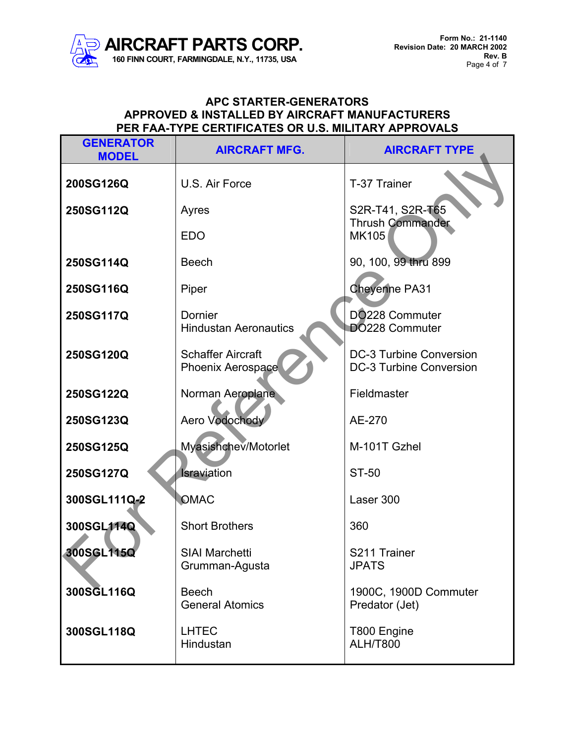

| <b>GENERATOR</b><br><b>MODEL</b> | <b>AIRCRAFT MFG.</b>                                 | <b>AIRCRAFT TYPE</b>                                      |
|----------------------------------|------------------------------------------------------|-----------------------------------------------------------|
| 200SG126Q                        | U.S. Air Force                                       | T-37 Trainer                                              |
| 250SG112Q                        | Ayres                                                | S2R-T41, S2R-T65                                          |
|                                  | <b>EDO</b>                                           | <b>Thrush Commander</b><br><b>MK105</b>                   |
| 250SG114Q                        | <b>Beech</b>                                         | 90, 100, 99 thru 899                                      |
| 250SG116Q                        | Piper                                                | <b>Cheyenne PA31</b>                                      |
| 250SG117Q                        | Dornier<br><b>Hindustan Aeronautics</b>              | DO228 Commuter<br>DO228 Commuter                          |
| 250SG120Q                        | <b>Schaffer Aircraft</b><br><b>Phoenix Aerospace</b> | <b>DC-3 Turbine Conversion</b><br>DC-3 Turbine Conversion |
| 250SG122Q                        | Norman Aeroplane                                     | Fieldmaster                                               |
| 250SG123Q                        | Aero Vodochody                                       | AE-270                                                    |
| 250SG125Q                        | Myasishchev/Motorlet                                 | M-101T Gzhel                                              |
| 250SG127Q                        | Israviation                                          | ST-50                                                     |
| 300SGL111Q-2                     | <b>OMAC</b>                                          | Laser 300                                                 |
| 300SGL114Q                       | <b>Short Brothers</b>                                | 360                                                       |
| 300SGL115Q                       | <b>SIAI Marchetti</b><br>Grumman-Agusta              | S211 Trainer<br><b>JPATS</b>                              |
| 300SGL116Q                       | <b>Beech</b><br><b>General Atomics</b>               | 1900C, 1900D Commuter<br>Predator (Jet)                   |
| 300SGL118Q                       | <b>LHTEC</b><br>Hindustan                            | T800 Engine<br><b>ALH/T800</b>                            |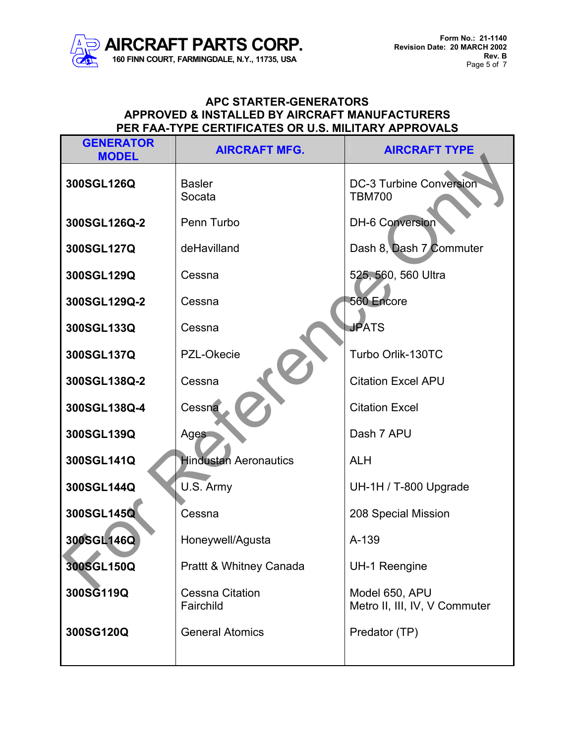

| <b>GENERATOR</b><br><b>MODEL</b> | <b>AIRCRAFT MFG.</b>                | <b>AIRCRAFT TYPE</b>                            |
|----------------------------------|-------------------------------------|-------------------------------------------------|
| 300SGL126Q                       | <b>Basler</b><br>Socata             | <b>DC-3 Turbine Conversion</b><br><b>TBM700</b> |
| 300SGL126Q-2                     | Penn Turbo                          | <b>DH-6 Conversion</b>                          |
| 300SGL127Q                       | deHavilland                         | Dash 8, Dash 7 Commuter                         |
| 300SGL129Q                       | Cessna                              | 525, 560, 560 Ultra                             |
| 300SGL129Q-2                     | Cessna                              | 560 Encore                                      |
| 300SGL133Q                       | Cessna                              | <b>JPATS</b>                                    |
| 300SGL137Q                       | PZL-Okecie                          | Turbo Orlik-130TC                               |
| 300SGL138Q-2                     | Cessna                              | <b>Citation Excel APU</b>                       |
| 300SGL138Q-4                     | Cessna                              | <b>Citation Excel</b>                           |
| 300SGL139Q                       | <b>Ages</b>                         | Dash 7 APU                                      |
| 300SGL141Q                       | <b>Hindustan Aeronautics</b>        | <b>ALH</b>                                      |
| 300SGL144Q                       | U.S. Army                           | UH-1H / T-800 Upgrade                           |
| 300SGL145Q                       | Cessna                              | 208 Special Mission                             |
| 300SGL146Q                       | Honeywell/Agusta                    | A-139                                           |
| 300SGL150Q                       | Prattt & Whitney Canada             | <b>UH-1 Reengine</b>                            |
| 300SG119Q                        | <b>Cessna Citation</b><br>Fairchild | Model 650, APU<br>Metro II, III, IV, V Commuter |
| 300SG120Q                        | <b>General Atomics</b>              | Predator (TP)                                   |
|                                  |                                     |                                                 |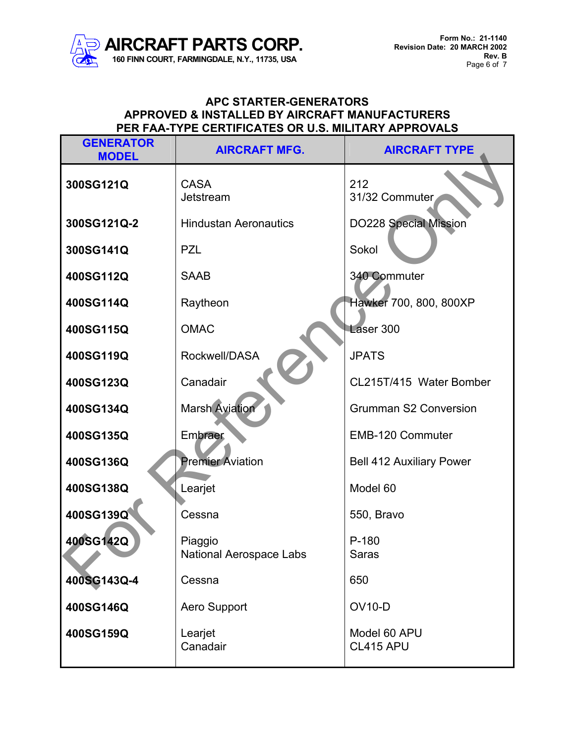

| <b>GENERATOR</b><br><b>MODEL</b> | <b>AIRCRAFT MFG.</b>                      | <b>AIRCRAFT TYPE</b>            |
|----------------------------------|-------------------------------------------|---------------------------------|
| 300SG121Q                        | <b>CASA</b><br>Jetstream                  | 212<br>31/32 Commuter           |
| 300SG121Q-2                      | <b>Hindustan Aeronautics</b>              | <b>DO228 Special Mission</b>    |
| 300SG141Q                        | <b>PZL</b>                                | Sokol                           |
| 400SG112Q                        | <b>SAAB</b>                               | 340 Commuter                    |
| 400SG114Q                        | Raytheon                                  | Hawker 700, 800, 800XP          |
| 400SG115Q                        | <b>OMAC</b>                               | Laser 300                       |
| 400SG119Q                        | Rockwell/DASA                             | <b>JPATS</b>                    |
| 400SG123Q                        | Canadair                                  | CL215T/415 Water Bomber         |
| 400SG134Q                        | <b>Marsh Aviation</b>                     | <b>Grumman S2 Conversion</b>    |
| 400SG135Q                        | Embraer                                   | <b>EMB-120 Commuter</b>         |
| 400SG136Q                        | <b>Premier Aviation</b>                   | <b>Bell 412 Auxiliary Power</b> |
| 400SG138Q                        | Learjet                                   | Model 60                        |
| 400SG139Q                        | Cessna                                    | 550, Bravo                      |
| 400SG142Q                        | Piaggio<br><b>National Aerospace Labs</b> | $P-180$<br><b>Saras</b>         |
| 400SG143Q-4                      | Cessna                                    | 650                             |
| 400SG146Q                        | <b>Aero Support</b>                       | <b>OV10-D</b>                   |
| 400SG159Q                        | Learjet<br>Canadair                       | Model 60 APU<br>CL415 APU       |